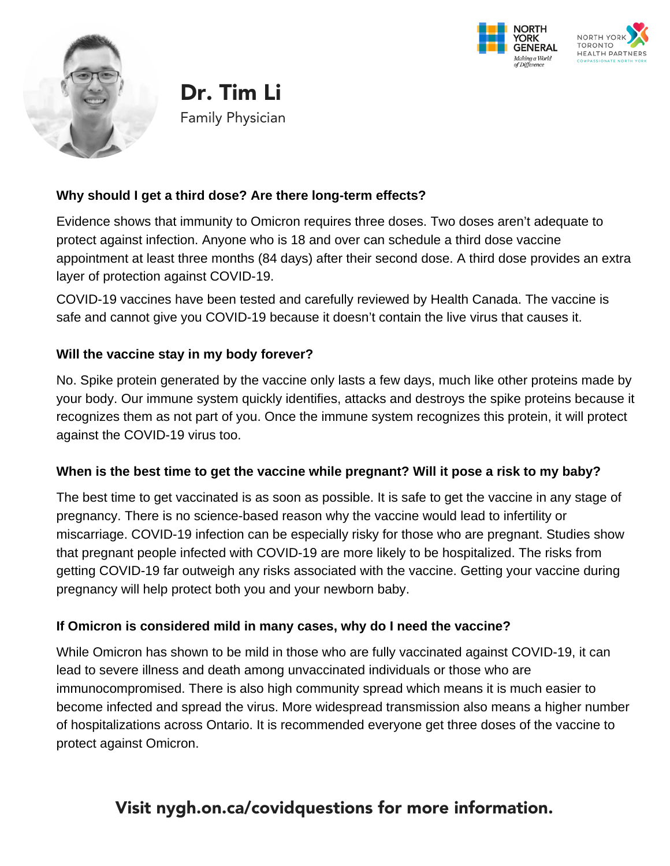





Family Physician Dr. Tim Li

#### **Why should I get a third dose? Are there long-term effects?**

Evidence shows that immunity to Omicron requires three doses. Two doses aren't adequate to protect against infection. Anyone who is 18 and over can schedule a third dose vaccine appointment at least three months (84 days) after their second dose. A third dose provides an extra layer of protection against COVID-19.

COVID-19 vaccines have been tested and carefully reviewed by Health Canada. The vaccine is safe and cannot give you COVID-19 because it doesn't contain the live virus that causes it.

## **Will the vaccine stay in my body forever?**

No. Spike protein generated by the vaccine only lasts a few days, much like other proteins made by your body. Our immune system quickly identifies, attacks and destroys the spike proteins because it recognizes them as not part of you. Once the immune system recognizes this protein, it will protect against the COVID-19 virus too.

#### **When is the best time to get the vaccine while pregnant? Will it pose a risk to my baby?**

The best time to get vaccinated is as soon as possible. It is safe to get the vaccine in any stage of pregnancy. There is no science-based reason why the vaccine would lead to infertility or miscarriage. COVID-19 infection can be especially risky for those who are pregnant. Studies show that pregnant people infected with COVID-19 are more likely to be hospitalized. The risks from getting COVID-19 far outweigh any risks associated with the vaccine. Getting your vaccine during pregnancy will help protect both you and your newborn baby.

#### **If Omicron is considered mild in many cases, why do I need the vaccine?**

While Omicron has shown to be mild in those who are fully vaccinated against COVID-19, it can lead to severe illness and death among unvaccinated individuals or those who are immunocompromised. There is also high community spread which means it is much easier to become infected and spread the virus. More widespread transmission also means a higher number of hospitalizations across Ontario. It is recommended everyone get three doses of the vaccine to protect against Omicron.

# Visit nygh.on.ca/covidquestions for more information.